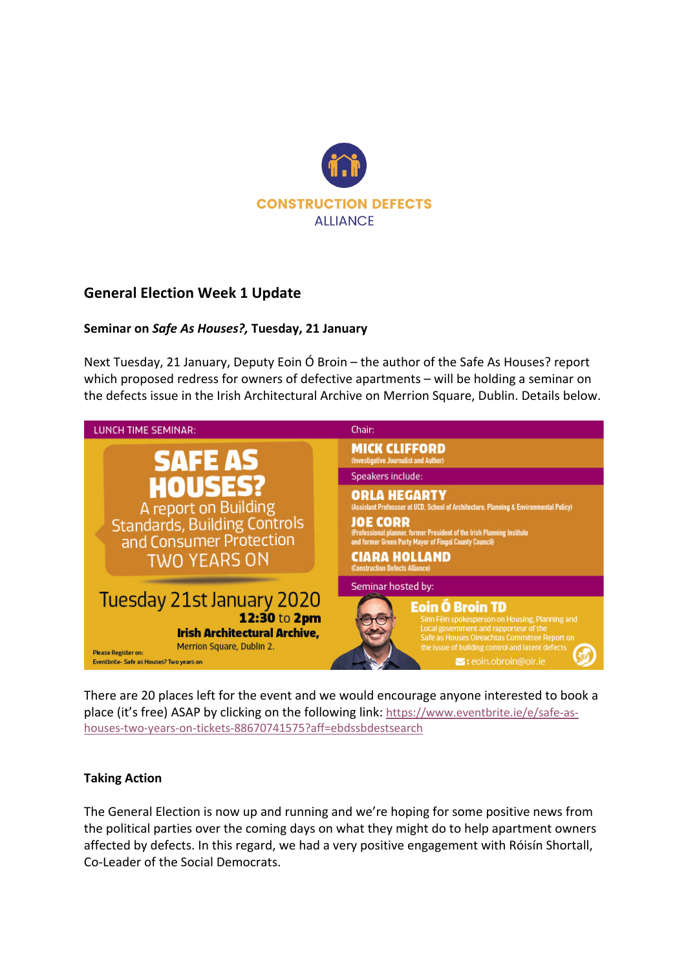

## **General Election Week 1 Update**

## **Seminar on** *Safe As Houses?,* **Tuesday, 21 January**

Next Tuesday, 21 January, Deputy Eoin Ó Broin – the author of the Safe As Houses? report which proposed redress for owners of defective apartments – will be holding a seminar on the defects issue in the Irish Architectural Archive on Merrion Square, Dublin. Details below.



There are 20 places left for the event and we would encourage anyone interested to book a place (it's free) ASAP by clicking on the following link: https://www.eventbrite.ie/e/safe-ashouses-two-years-on-tickets-88670741575?aff=ebdssbdestsearch

## **Taking Action**

The General Election is now up and running and we're hoping for some positive news from the political parties over the coming days on what they might do to help apartment owners affected by defects. In this regard, we had a very positive engagement with Róisín Shortall, Co-Leader of the Social Democrats.